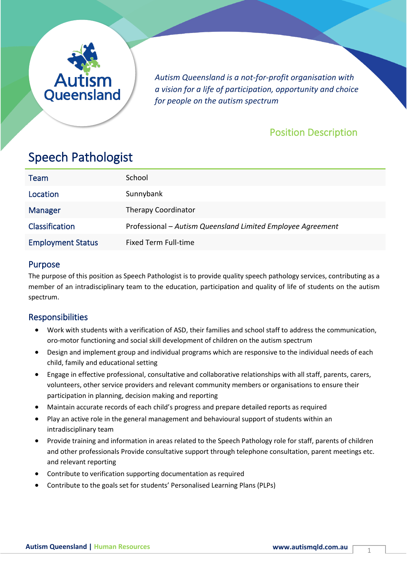

*Autism Queensland is a not-for-profit organisation with a vision for a life of participation, opportunity and choice for people on the autism spectrum*

## Position Description

# Speech Pathologist

| <b>Team</b>              | School                                                      |
|--------------------------|-------------------------------------------------------------|
| Location                 | Sunnybank                                                   |
| <b>Manager</b>           | <b>Therapy Coordinator</b>                                  |
| Classification           | Professional - Autism Queensland Limited Employee Agreement |
| <b>Employment Status</b> | <b>Fixed Term Full-time</b>                                 |

## Purpose

The purpose of this position as Speech Pathologist is to provide quality speech pathology services, contributing as a member of an intradisciplinary team to the education, participation and quality of life of students on the autism spectrum.

## Responsibilities

- Work with students with a verification of ASD, their families and school staff to address the communication, oro-motor functioning and social skill development of children on the autism spectrum
- Design and implement group and individual programs which are responsive to the individual needs of each child, family and educational setting
- Engage in effective professional, consultative and collaborative relationships with all staff, parents, carers, volunteers, other service providers and relevant community members or organisations to ensure their participation in planning, decision making and reporting
- Maintain accurate records of each child's progress and prepare detailed reports as required
- Play an active role in the general management and behavioural support of students within an intradisciplinary team
- Provide training and information in areas related to the Speech Pathology role for staff, parents of children and other professionals Provide consultative support through telephone consultation, parent meetings etc. and relevant reporting
- Contribute to verification supporting documentation as required
- Contribute to the goals set for students' Personalised Learning Plans (PLPs)